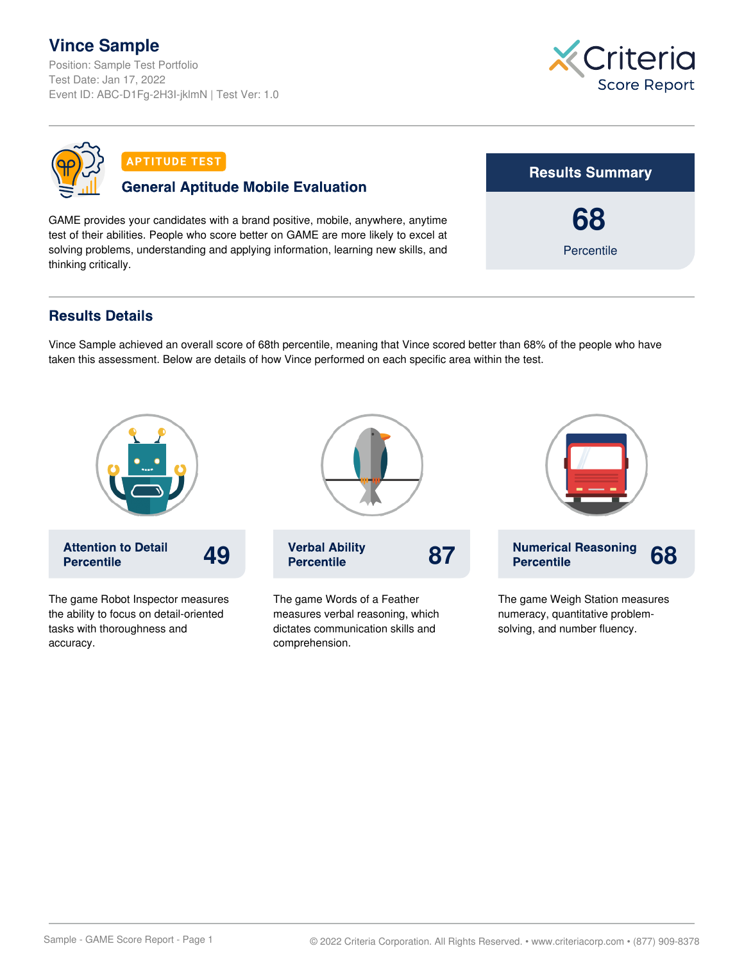## **Vince Sample**

Position: Sample Test Portfolio Test Date: Jan 17, 2022 Event ID: ABC-D1Fg-2H3I-jklmN | Test Ver: 1.0





**APTITUDE TEST** 

## **General Aptitude Mobile Evaluation**

GAME provides your candidates with a brand positive, mobile, anywhere, anytime test of their abilities. People who score better on GAME are more likely to excel at solving problems, understanding and applying information, learning new skills, and thinking critically.



## **Results Details**

accuracy.

Vince Sample achieved an overall score of 68th percentile, meaning that Vince scored better than 68% of the people who have taken this assessment. Below are details of how Vince performed on each specific area within the test.



comprehension.